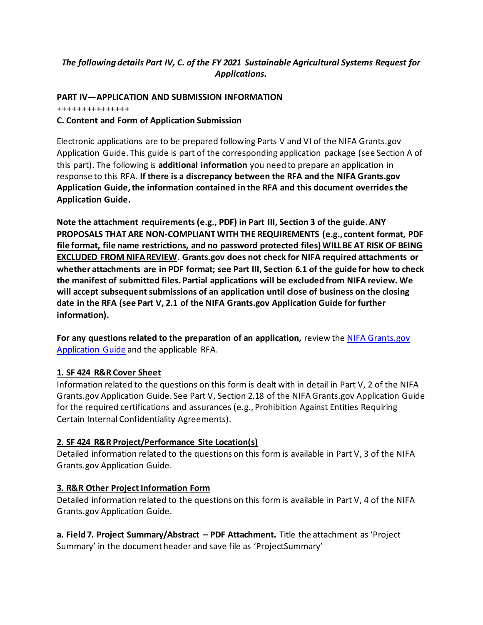# *The following details Part IV, C. of the FY 2021 Sustainable Agricultural Systems Request for Applications.*

### **PART IV—APPLICATION AND SUBMISSION INFORMATION**

+++++++++++++++

#### **C. Content and Form of Application Submission**

Electronic applications are to be prepared following Parts V and VI of the NIFA Grants.gov Application Guide. This guide is part of the corresponding application package (see Section A of this part). The following is **additional information** you need to prepare an application in response to this RFA. **If there is a discrepancy between the RFA and the NIFA Grants.gov Application Guide, the information contained in the RFA and this document overrides the Application Guide.**

**Note the attachment requirements (e.g., PDF) in Part III, Section 3 of the guide. ANY PROPOSALS THAT ARE NON-COMPLIANT WITH THE REQUIREMENTS (e.g., content format, PDF file format, file name restrictions, and no password protected files) WILLBE AT RISK OF BEING EXCLUDED FROM NIFAREVIEW. Grants.gov does not check for NIFA required attachments or whether attachments are in PDF format; see Part III, Section 6.1 of the guide for how to check the manifest of submitted files. Partial applications will be excluded from NIFA review. We will accept subsequent submissions of an application until close of business on the closing date in the RFA (see Part V, 2.1 of the NIFA Grants.gov Application Guide for further information).**

**For any questions related to the preparation of an application,** review the [NIFA Grants.gov](https://nifa.usda.gov/resource/nifa-grantsgov-application-guide-location)  [Application Guide](https://nifa.usda.gov/resource/nifa-grantsgov-application-guide-location) and the applicable RFA.

## **1. SF 424 R&R Cover Sheet**

Information related to the questions on this form is dealt with in detail in Part V, 2 of the NIFA Grants.gov Application Guide. See Part V, Section 2.18 of the NIFA Grants.gov Application Guide for the required certifications and assurances (e.g., Prohibition Against Entities Requiring Certain Internal Confidentiality Agreements).

## **2. SF 424 R&R Project/Performance Site Location(s)**

Detailed information related to the questions on this form is available in Part V, 3 of the NIFA Grants.gov Application Guide.

## **3. R&R Other Project Information Form**

Detailed information related to the questions on this form is available in Part V, 4 of the NIFA Grants.gov Application Guide.

**a. Field 7. Project Summary/Abstract – PDF Attachment.** Title the attachment as 'Project Summary' in the document header and save file as 'ProjectSummary'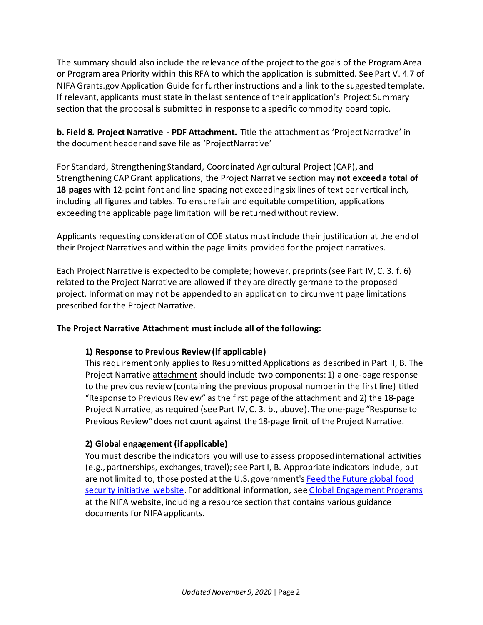The summary should also include the relevance of the project to the goals of the Program Area or Program area Priority within this RFA to which the application is submitted. See Part V. 4.7 of NIFA Grants.gov Application Guide for further instructions and a link to the suggested template. If relevant, applicants must state in the last sentence of their application's Project Summary section that the proposal is submitted in response to a specific commodity board topic.

**b. Field 8. Project Narrative - PDF Attachment.** Title the attachment as 'Project Narrative' in the document header and save file as 'ProjectNarrative'

For Standard, Strengthening Standard, Coordinated Agricultural Project (CAP), and Strengthening CAP Grant applications, the Project Narrative section may **not exceed a total of 18 pages** with 12-point font and line spacing not exceeding six lines of text per vertical inch, including all figures and tables. To ensure fair and equitable competition, applications exceeding the applicable page limitation will be returned without review.

Applicants requesting consideration of COE status must include their justification at the end of their Project Narratives and within the page limits provided for the project narratives.

Each Project Narrative is expected to be complete; however, preprints (see Part IV, C. 3. f. 6) related to the Project Narrative are allowed if they are directly germane to the proposed project. Information may not be appended to an application to circumvent page limitations prescribed for the Project Narrative.

## **The Project Narrative Attachment must include all of the following:**

## **1) Response to Previous Review (if applicable)**

This requirement only applies to Resubmitted Applications as described in Part II, B. The Project Narrative attachment should include two components: 1) a one-page response to the previous review (containing the previous proposal number in the first line) titled "Response to Previous Review" as the first page of the attachment and 2) the 18-page Project Narrative, as required (see Part IV, C. 3. b., above). The one-page "Response to Previous Review" does not count against the 18-page limit of the Project Narrative.

## **2) Global engagement (if applicable)**

You must describe the indicators you will use to assess proposed international activities (e.g., partnerships, exchanges, travel); see Part I, B. Appropriate indicators include, but are not limited to, those posted at the U.S. government'[s Feed the Future global food](http://www.feedthefuture.gov/progress)  [security initiative website.](http://www.feedthefuture.gov/progress) For additional information, see [Global Engagement](http://www.nifa.usda.gov/globalengagement.cfm) Programs at the NIFA website, including a resource section that contains various guidance documents for NIFA applicants.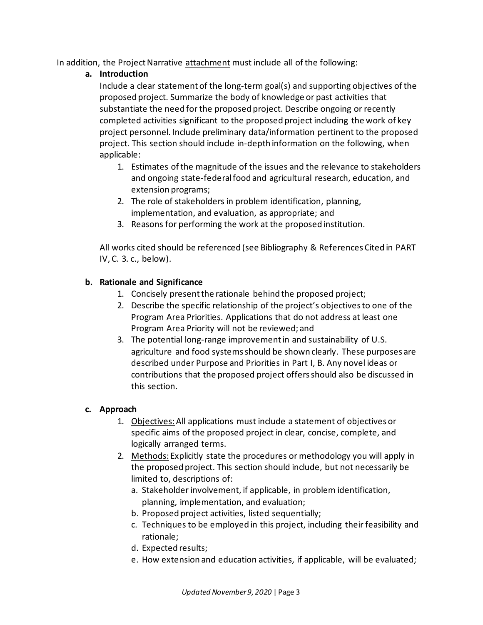In addition, the Project Narrative attachment must include all of the following:

# **a. Introduction**

Include a clear statement of the long-term goal(s) and supporting objectives of the proposed project. Summarize the body of knowledge or past activities that substantiate the need for the proposed project. Describe ongoing or recently completed activities significant to the proposed project including the work of key project personnel. Include preliminary data/information pertinent to the proposed project. This section should include in-depth information on the following, when applicable:

- 1. Estimates of the magnitude of the issues and the relevance to stakeholders and ongoing state-federal food and agricultural research, education, and extension programs;
- 2. The role of stakeholders in problem identification, planning, implementation, and evaluation, as appropriate; and
- 3. Reasons for performing the work at the proposed institution.

All works cited should be referenced (see Bibliography & References Cited in PART IV, C. 3. c., below).

# **b. Rationale and Significance**

- 1. Concisely present the rationale behind the proposed project;
- 2. Describe the specific relationship of the project's objectives to one of the Program Area Priorities. Applications that do not address at least one Program Area Priority will not be reviewed; and
- 3. The potential long-range improvement in and sustainability of U.S. agriculture and food systems should be shown clearly. These purposes are described under Purpose and Priorities in Part I, B. Any novel ideas or contributions that the proposed project offers should also be discussed in this section.

## **c. Approach**

- 1. Objectives:All applications must include a statement of objectives or specific aims of the proposed project in clear, concise, complete, and logically arranged terms.
- 2. Methods: Explicitly state the procedures or methodology you will apply in the proposed project. This section should include, but not necessarily be limited to, descriptions of:
	- a. Stakeholder involvement, if applicable, in problem identification, planning, implementation, and evaluation;
	- b. Proposed project activities, listed sequentially;
	- c. Techniques to be employed in this project, including their feasibility and rationale;
	- d. Expected results;
	- e. How extension and education activities, if applicable, will be evaluated;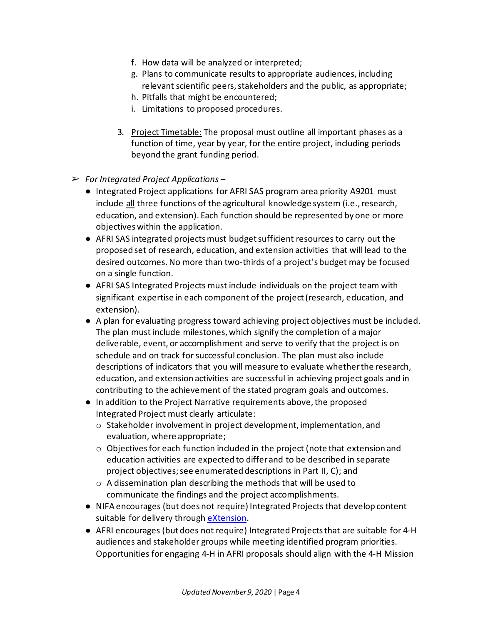- f. How data will be analyzed or interpreted;
- g. Plans to communicate results to appropriate audiences, including relevant scientific peers, stakeholders and the public, as appropriate;
- h. Pitfalls that might be encountered;
- i. Limitations to proposed procedures.
- 3. Project Timetable: The proposal must outline all important phases as a function of time, year by year, for the entire project, including periods beyond the grant funding period.
- ➢ *For Integrated Project Applications* 
	- Integrated Project applications for AFRI SAS program area priority A9201 must include all three functions of the agricultural knowledge system (i.e., research, education, and extension). Each function should be represented by one or more objectives within the application.
	- AFRI SAS integrated projects must budget sufficient resources to carry out the proposed set of research, education, and extension activities that will lead to the desired outcomes. No more than two-thirds of a project's budget may be focused on a single function.
	- AFRI SAS Integrated Projects must include individuals on the project team with significant expertise in each component of the project (research, education, and extension).
	- A plan for evaluating progress toward achieving project objectives must be included. The plan must include milestones, which signify the completion of a major deliverable, event, or accomplishment and serve to verify that the project is on schedule and on track for successful conclusion. The plan must also include descriptions of indicators that you will measure to evaluate whether the research, education, and extension activities are successful in achieving project goals and in contributing to the achievement of the stated program goals and outcomes.
	- In addition to the Project Narrative requirements above, the proposed Integrated Project must clearly articulate:
		- o Stakeholder involvement in project development, implementation, and evaluation, where appropriate;
		- $\circ$  Objectives for each function included in the project (note that extension and education activities are expected to differ and to be described in separate project objectives; see enumerated descriptions in Part II, C); and
		- o A dissemination plan describing the methods that will be used to communicate the findings and the project accomplishments.
	- NIFA encourages (but does not require) Integrated Projects that develop content suitable for delivery through [eXtension.](https://extension.org/)
	- AFRI encourages (but does not require) Integrated Projects that are suitable for 4-H audiences and stakeholder groups while meeting identified program priorities. Opportunities for engaging 4-H in AFRI proposals should align with the 4-H Mission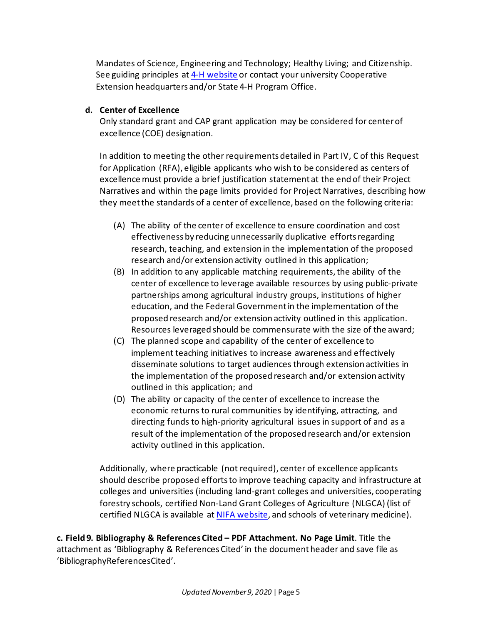Mandates of Science, Engineering and Technology; Healthy Living; and Citizenship. See guiding principles a[t 4-H website](http://4-h.org/) or contact your university Cooperative Extension headquarters and/or State 4-H Program Office.

### **d. Center of Excellence**

Only standard grant and CAP grant application may be considered for center of excellence (COE) designation.

In addition to meeting the other requirements detailed in Part IV, C of this Request for Application (RFA), eligible applicants who wish to be considered as centers of excellence must provide a brief justification statement at the end of their Project Narratives and within the page limits provided for Project Narratives, describing how they meet the standards of a center of excellence, based on the following criteria:

- (A) The ability of the center of excellence to ensure coordination and cost effectiveness by reducing unnecessarily duplicative efforts regarding research, teaching, and extension in the implementation of the proposed research and/or extension activity outlined in this application;
- (B) In addition to any applicable matching requirements, the ability of the center of excellence to leverage available resources by using public-private partnerships among agricultural industry groups, institutions of higher education, and the Federal Government in the implementation of the proposed research and/or extension activity outlined in this application. Resources leveraged should be commensurate with the size of the award;
- (C) The planned scope and capability of the center of excellence to implement teaching initiatives to increase awareness and effectively disseminate solutions to target audiences through extension activities in the implementation of the proposed research and/or extension activity outlined in this application; and
- (D) The ability or capacity of the center of excellence to increase the economic returns to rural communities by identifying, attracting, and directing funds to high-priority agricultural issues in support of and as a result of the implementation of the proposed research and/or extension activity outlined in this application.

Additionally, where practicable (not required), center of excellence applicants should describe proposed efforts to improve teaching capacity and infrastructure at colleges and universities (including land-grant colleges and universities, cooperating forestry schools, certified Non-Land Grant Colleges of Agriculture (NLGCA) (list of certified NLGCA is available a[t NIFA website,](http://www.nifa.usda.gov/funding/pdfs/nlgca_colleges.pdf) and schools of veterinary medicine).

**c. Field 9. Bibliography & References Cited – PDF Attachment. No Page Limit**. Title the attachment as 'Bibliography & References Cited' in the document header and save file as 'BibliographyReferencesCited'.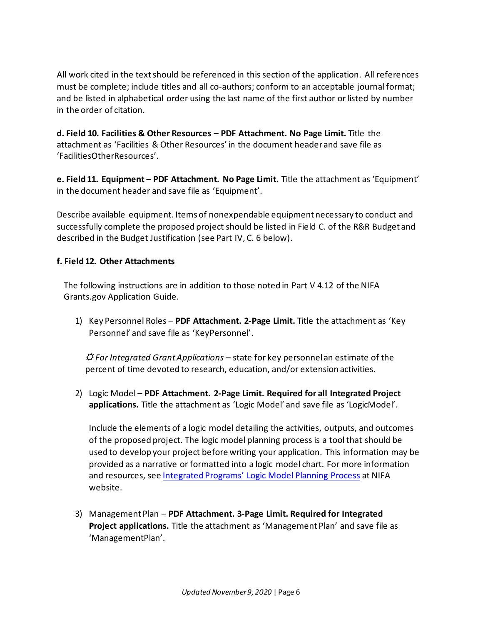All work cited in the text should be referenced in this section of the application. All references must be complete; include titles and all co-authors; conform to an acceptable journal format; and be listed in alphabetical order using the last name of the first author or listed by number in the order of citation.

**d. Field 10. Facilities & Other Resources – PDF Attachment. No Page Limit.** Title the attachment as 'Facilities & Other Resources' in the document header and save file as 'FacilitiesOtherResources'.

**e. Field 11. Equipment – PDF Attachment. No Page Limit.** Title the attachment as 'Equipment' in the document header and save file as 'Equipment'.

Describe available equipment. Items of nonexpendable equipment necessary to conduct and successfully complete the proposed project should be listed in Field C. of the R&R Budget and described in the Budget Justification (see Part IV, C. 6 below).

## **f. Field 12. Other Attachments**

The following instructions are in addition to those noted in Part V 4.12 of the NIFA Grants.gov Application Guide.

1) Key Personnel Roles – **PDF Attachment. 2-Page Limit.** Title the attachment as 'Key Personnel' and save file as 'KeyPersonnel'.

☼ *For Integrated Grant Applications –* state for key personnel an estimate of the percent of time devoted to research, education, and/or extension activities.

2) Logic Model – **PDF Attachment. 2-Page Limit. Required for all Integrated Project applications.** Title the attachment as 'Logic Model' and save file as 'LogicModel'.

Include the elements of a logic model detailing the activities, outputs, and outcomes of the proposed project. The logic model planning process is a tool that should be used to develop your project before writing your application. This information may be provided as a narrative or formatted into a logic model chart. For more information and resources, see [Integrated Programs'](https://nifa.usda.gov/resource/integrated-programs-logic-model-planning-process) Logic Model Planning Process at NIFA website.

3) Management Plan – **PDF Attachment. 3-Page Limit. Required for Integrated Project applications.** Title the attachment as 'Management Plan' and save file as 'ManagementPlan'.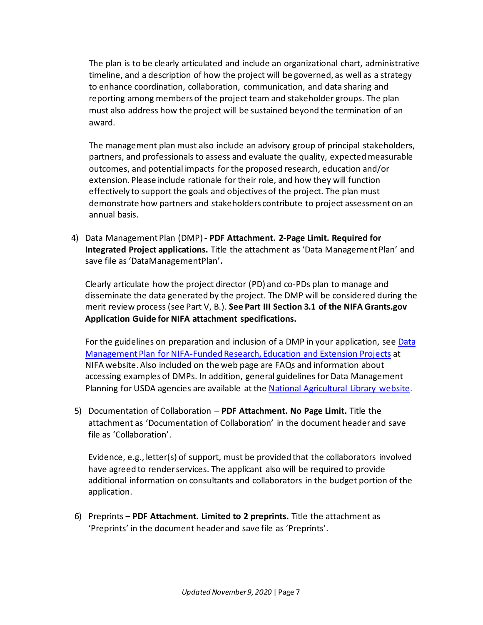The plan is to be clearly articulated and include an organizational chart, administrative timeline, and a description of how the project will be governed, as well as a strategy to enhance coordination, collaboration, communication, and data sharing and reporting among members of the project team and stakeholder groups. The plan must also address how the project will be sustained beyond the termination of an award.

The management plan must also include an advisory group of principal stakeholders, partners, and professionals to assess and evaluate the quality, expected measurable outcomes, and potential impacts for the proposed research, education and/or extension. Please include rationale for their role, and how they will function effectively to support the goals and objectives of the project. The plan must demonstrate how partners and stakeholders contribute to project assessment on an annual basis.

4) Data Management Plan (DMP) **- PDF Attachment. 2-Page Limit. Required for Integrated Project applications.** Title the attachment as 'Data Management Plan' and save file as 'DataManagementPlan'**.**

Clearly articulate how the project director (PD) and co-PDs plan to manage and disseminate the data generated by the project. The DMP will be considered during the merit review process (see Part V, B.). **See Part III Section 3.1 of the NIFA Grants.gov Application Guide for NIFA attachment specifications.**

For the guidelines on preparation and inclusion of a DMP in your application, see Data [Management Plan for NIFA-Funded Research, Education and Extension Projects](https://nifa.usda.gov/resource/data-management-plan-nifa-funded-research-projects) at NIFA website. Also included on the web page are FAQs and information about accessing examples of DMPs. In addition, general guidelines for Data Management Planning for USDA agencies are available at the [National Agricultural Library website.](https://www.nal.usda.gov/ks/guidelines-data-management-planning)

5) Documentation of Collaboration – **PDF Attachment. No Page Limit.** Title the attachment as 'Documentation of Collaboration' in the document header and save file as 'Collaboration'.

Evidence, e.g., letter(s) of support, must be provided that the collaborators involved have agreed to render services. The applicant also will be required to provide additional information on consultants and collaborators in the budget portion of the application.

6) Preprints – **PDF Attachment. Limited to 2 preprints.** Title the attachment as 'Preprints' in the document header and save file as 'Preprints'.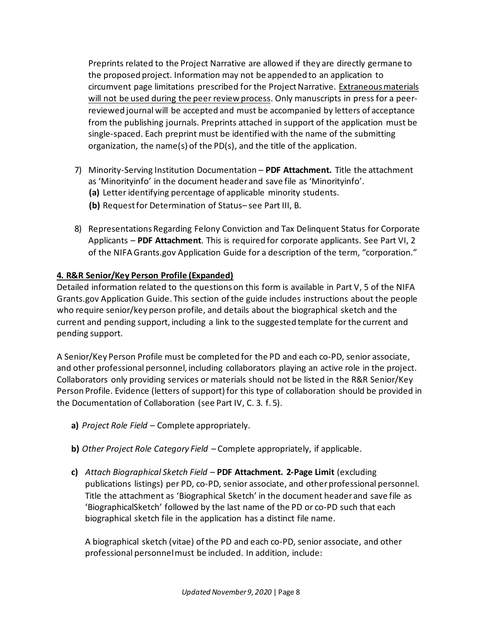Preprints related to the Project Narrative are allowed if they are directly germane to the proposed project. Information may not be appended to an application to circumvent page limitations prescribed for the Project Narrative. Extraneous materials will not be used during the peer review process. Only manuscripts in press for a peerreviewed journal will be accepted and must be accompanied by letters of acceptance from the publishing journals. Preprints attached in support of the application must be single-spaced. Each preprint must be identified with the name of the submitting organization, the name(s) of the PD(s), and the title of the application.

- 7) Minority-Serving Institution Documentation **PDF Attachment.** Title the attachment as 'Minorityinfo' in the document header and save file as 'Minorityinfo'.
	- **(a)** Letter identifying percentage of applicable minority students.
	- **(b)** Request for Determination of Status– see Part III, B.
- 8) Representations Regarding Felony Conviction and Tax Delinquent Status for Corporate Applicants – **PDF Attachment**. This is required for corporate applicants. See Part VI, 2 of the NIFA Grants.gov Application Guide for a description of the term, "corporation."

# **4. R&R Senior/Key Person Profile (Expanded)**

Detailed information related to the questions on this form is available in Part V, 5 of the NIFA Grants.gov Application Guide. This section of the guide includes instructions about the people who require senior/key person profile, and details about the biographical sketch and the current and pending support, including a link to the suggested template for the current and pending support.

A Senior/Key Person Profile must be completed for the PD and each co-PD, senior associate, and other professional personnel, including collaborators playing an active role in the project. Collaborators only providing services or materials should not be listed in the R&R Senior/Key Person Profile. Evidence (letters of support) for this type of collaboration should be provided in the Documentation of Collaboration (see Part IV, C. 3. f. 5).

- **a)** *Project Role Field*  Complete appropriately.
- **b)** *Other Project Role Category Field*  Complete appropriately, if applicable.
- **c)** *Attach Biographical Sketch Field*  **PDF Attachment. 2-Page Limit** (excluding publications listings) per PD, co-PD, senior associate, and other professional personnel. Title the attachment as 'Biographical Sketch' in the document header and save file as 'BiographicalSketch' followed by the last name of the PD or co-PD such that each biographical sketch file in the application has a distinct file name.

A biographical sketch (vitae) of the PD and each co-PD, senior associate, and other professional personnel must be included. In addition, include: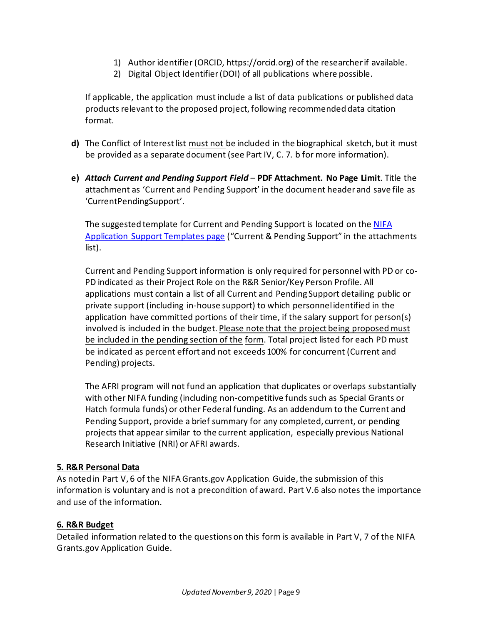- 1) Author identifier (ORCID, https://orcid.org) of the researcher if available.
- 2) Digital Object Identifier (DOI) of all publications where possible.

If applicable, the application must include a list of data publications or published data products relevant to the proposed project, following recommended data citation format.

- **d)** The Conflict of Interest list must not be included in the biographical sketch, but it must be provided as a separate document (see Part IV, C. 7. b for more information).
- **e)** *Attach Current and Pending Support Field*  **PDF Attachment. No Page Limit**. Title the attachment as 'Current and Pending Support' in the document header and save file as 'CurrentPendingSupport'.

The suggested template for Current and Pending Support is located on the [NIFA](https://nifa.usda.gov/resource/application-support-templates)  [Application Support Templates page](https://nifa.usda.gov/resource/application-support-templates) ("Current & Pending Support" in the attachments list).

Current and Pending Support information is only required for personnel with PD or co-PD indicated as their Project Role on the R&R Senior/Key Person Profile. All applications must contain a list of all Current and Pending Support detailing public or private support (including in-house support) to which personnel identified in the application have committed portions of their time, if the salary support for person(s) involved is included in the budget. Please note that the project being proposed must be included in the pending section of the form. Total project listed for each PD must be indicated as percent effort and not exceeds 100% for concurrent (Current and Pending) projects.

The AFRI program will not fund an application that duplicates or overlaps substantially with other NIFA funding (including non-competitive funds such as Special Grants or Hatch formula funds) or other Federal funding. As an addendum to the Current and Pending Support, provide a brief summary for any completed, current, or pending projects that appear similar to the current application, especially previous National Research Initiative (NRI) or AFRI awards.

## **5. R&R Personal Data**

As noted in Part V, 6 of the NIFA Grants.gov Application Guide, the submission of this information is voluntary and is not a precondition of award. Part V.6 also notes the importance and use of the information.

## **6. R&R Budget**

Detailed information related to the questions on this form is available in Part V, 7 of the NIFA Grants.gov Application Guide.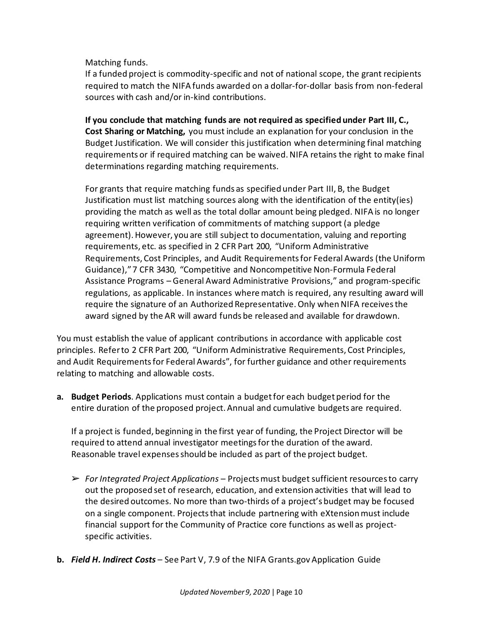Matching funds.

If a funded project is commodity-specific and not of national scope, the grant recipients required to match the NIFA funds awarded on a dollar-for-dollar basis from non-federal sources with cash and/or in-kind contributions.

**If you conclude that matching funds are not required as specified under Part III, C., Cost Sharing or Matching,** you must include an explanation for your conclusion in the Budget Justification. We will consider this justification when determining final matching requirements or if required matching can be waived. NIFA retains the right to make final determinations regarding matching requirements.

For grants that require matching funds as specified under Part III, B, the Budget Justification must list matching sources along with the identification of the entity(ies) providing the match as well as the total dollar amount being pledged. NIFA is no longer requiring written verification of commitments of matching support (a pledge agreement).However, you are still subject to documentation, valuing and reporting requirements, etc. as specified in 2 CFR Part 200, "Uniform Administrative Requirements, Cost Principles, and Audit Requirements for Federal Awards (the Uniform Guidance)," 7 CFR 3430, "Competitive and Noncompetitive Non-Formula Federal Assistance Programs – General Award Administrative Provisions," and program-specific regulations, as applicable. In instances where match is required, any resulting award will require the signature of an Authorized Representative. Only when NIFA receives the award signed by the AR will award funds be released and available for drawdown.

You must establish the value of applicant contributions in accordance with applicable cost principles. Refer to 2 CFR Part 200, "Uniform Administrative Requirements, Cost Principles, and Audit Requirements for Federal Awards", for further guidance and other requirements relating to matching and allowable costs.

**a. Budget Periods**. Applications must contain a budget for each budget period for the entire duration of the proposed project. Annual and cumulative budgets are required.

If a project is funded, beginning in the first year of funding, the Project Director will be required to attend annual investigator meetings for the duration of the award. Reasonable travel expenses should be included as part of the project budget.

- ➢ *For Integrated Project Applications –* Projects must budget sufficient resources to carry out the proposed set of research, education, and extension activities that will lead to the desired outcomes. No more than two-thirds of a project's budget may be focused on a single component. Projects that include partnering with eXtension must include financial support for the Community of Practice core functions as well as projectspecific activities.
- **b.** *Field H. Indirect Costs* See Part V, 7.9 of the NIFA Grants.gov Application Guide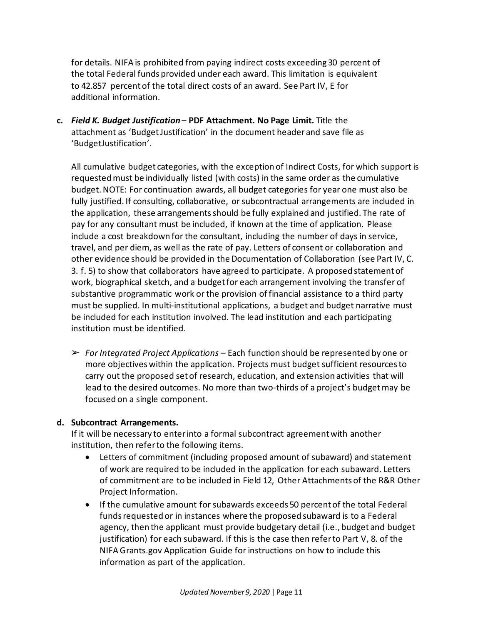for details. NIFA is prohibited from paying indirect costs exceeding 30 percent of the total Federal funds provided under each award. This limitation is equivalent to 42.857 percent of the total direct costs of an award. See Part IV, E for additional information.

**c.** *Field K. Budget Justification* – **PDF Attachment. No Page Limit.** Title the attachment as 'Budget Justification' in the document header and save file as 'BudgetJustification'.

All cumulative budget categories, with the exception of Indirect Costs, for which support is requested must be individually listed (with costs) in the same order as the cumulative budget. NOTE: For continuation awards, all budget categories for year one must also be fully justified. If consulting, collaborative, or subcontractual arrangements are included in the application, these arrangements should be fully explained and justified. The rate of pay for any consultant must be included, if known at the time of application. Please include a cost breakdown for the consultant, including the number of days in service, travel, and per diem, as well as the rate of pay. Letters of consent or collaboration and other evidence should be provided in the Documentation of Collaboration (see Part IV, C. 3. f. 5) to show that collaborators have agreed to participate. A proposed statement of work, biographical sketch, and a budget for each arrangement involving the transfer of substantive programmatic work or the provision of financial assistance to a third party must be supplied. In multi-institutional applications, a budget and budget narrative must be included for each institution involved. The lead institution and each participating institution must be identified.

➢ *For Integrated Project Applications –* Each function should be represented by one or more objectives within the application. Projects must budget sufficient resources to carry out the proposed set of research, education, and extension activities that will lead to the desired outcomes. No more than two-thirds of a project's budget may be focused on a single component.

## **d. Subcontract Arrangements.**

If it will be necessary to enter into a formal subcontract agreement with another institution, then refer to the following items.

- Letters of commitment (including proposed amount of subaward) and statement of work are required to be included in the application for each subaward. Letters of commitment are to be included in Field 12, Other Attachments of the R&R Other Project Information.
- If the cumulative amount for subawards exceeds 50 percent of the total Federal funds requested or in instances where the proposed subaward is to a Federal agency, then the applicant must provide budgetary detail (i.e., budget and budget justification) for each subaward. If this is the case then refer to Part V, 8. of the NIFA Grants.gov Application Guide for instructions on how to include this information as part of the application.